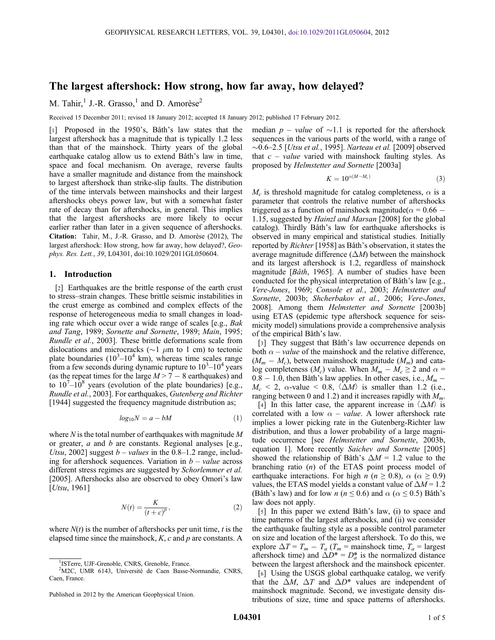# The largest aftershock: How strong, how far away, how delayed?

M. Tahir, <sup>1</sup> J.-R. Grasso, <sup>1</sup> and D. Amorèse<sup>2</sup>

Received 15 December 2011; revised 18 January 2012; accepted 18 January 2012; published 17 February 2012.

[1] Proposed in the 1950's, Båth's law states that the largest aftershock has a magnitude that is typically 1.2 less than that of the mainshock. Thirty years of the global earthquake catalog allow us to extend Båth's law in time, space and focal mechanism. On average, reverse faults have a smaller magnitude and distance from the mainshock to largest aftershock than strike-slip faults. The distribution of the time intervals between mainshocks and their largest aftershocks obeys power law, but with a somewhat faster rate of decay than for aftershocks, in general. This implies that the largest aftershocks are more likely to occur earlier rather than later in a given sequence of aftershocks. Citation: Tahir, M., J.-R. Grasso, and D. Amorèse (2012), The largest aftershock: How strong, how far away, how delayed?, Geophys. Res. Lett., 39, L04301, doi:10.1029/2011GL050604.

## 1. Introduction

[2] Earthquakes are the brittle response of the earth crust to stress–strain changes. These brittle seismic instabilities in the crust emerge as combined and complex effects of the response of heterogeneous media to small changes in loading rate which occur over a wide range of scales [e.g., Bak and Tang, 1989; Sornette and Sornette, 1989; Main, 1995; Rundle et al., 2003]. These brittle deformations scale from dislocations and microcracks ( $\sim$ 1  $\mu$ m to 1 cm) to tectonic plate boundaries  $(10^3 - 10^4 \text{ km})$ , whereas time scales range from a few seconds during dynamic rupture to  $10^3 - 10^4$  years (as the repeat times for the large  $M > 7 - 8$  earthquakes) and to  $10^{7}-10^{8}$  years (evolution of the plate boundaries) [e.g., Rundle et al., 2003]. For earthquakes, Gutenberg and Richter [1944] suggested the frequency magnitude distribution as;

$$
log_{10}N = a - bM \tag{1}
$$

where  $N$  is the total number of earthquakes with magnitude  $M$ or greater,  $a$  and  $b$  are constants. Regional analyses [e.g., Utsu, 2002] suggest  $b$  – *values* in the 0.8–1.2 range, including for aftershock sequences. Variation in  $b$  – *value* across different stress regimes are suggested by Schorlemmer et al. [2005]. Aftershocks also are observed to obey Omori's law [*Utsu*, 1961]

$$
N(t) = \frac{K}{(t+c)^p},\tag{2}
$$

where  $N(t)$  is the number of aftershocks per unit time, t is the elapsed time since the mainshock,  $K$ ,  $c$  and  $p$  are constants. A

median  $p - value$  of  $\sim 1.1$  is reported for the aftershock sequences in the various parts of the world, with a range of  $\sim$ 0.6–2.5 [*Utsu et al.*, 1995]. Narteau et al. [2009] observed that  $c$  – *value* varied with mainshock faulting styles. As proposed by Helmstetter and Sornette [2003a]

$$
K = 10^{\alpha(M - M_c)}\tag{3}
$$

 $M_c$  is threshold magnitude for catalog completeness,  $\alpha$  is a parameter that controls the relative number of aftershocks triggered as a function of mainshock magnitude( $\alpha$  = 0.66 – 1.15, suggested by Hainzl and Marsan [2008] for the global catalog). Thirdly Båth's law for earthquake aftershocks is observed in many empirical and statistical studies. Initially reported by Richter [1958] as Båth's observation, it states the average magnitude difference  $(\Delta M)$  between the mainshock and its largest aftershock is 1.2, regardless of mainshock magnitude [Båth, 1965]. A number of studies have been conducted for the physical interpretation of Båth's law [e.g., Vere-Jones, 1969; Console et al., 2003; Helmstetter and Sornette, 2003b; Shcherbakov et al., 2006; Vere-Jones, 2008]. Among them Helmstetter and Sornette [2003b] using ETAS (epidemic type aftershock sequence for seismicity model) simulations provide a comprehensive analysis of the empirical Båth's law.

[3] They suggest that Båth's law occurrence depends on both  $\alpha$  – *value* of the mainshock and the relative difference,  $(M_m - M_c)$ , between mainshock magnitude  $(M_m)$  and catalog completeness ( $M_c$ ) value. When  $M_m - M_c \ge 2$  and  $\alpha =$  $0.8 - 1.0$ , then Båth's law applies. In other cases, i.e.,  $M_m$  –  $M_c \leq 2$ ,  $\alpha$ -value  $\leq 0.8$ ,  $\langle \overrightarrow{\Delta} M \rangle$  is smaller than 1.2 (i.e., ranging between 0 and 1.2) and it increases rapidly with  $M_m$ .

[4] In this latter case, the apparent increase in  $\langle \Delta M \rangle$  is correlated with a low  $\alpha$  – *value*. A lower aftershock rate implies a lower picking rate in the Gutenberg-Richter law distribution, and thus a lower probability of a large magnitude occurrence [see Helmstetter and Sornette, 2003b, equation 1]. More recently Saichev and Sornette [2005] showed the relationship of Båth's  $\Delta M = 1.2$  value to the branching ratio (n) of the ETAS point process model of earthquake interactions. For high *n* ( $n \ge 0.8$ ),  $\alpha$  ( $\alpha \ge 0.9$ ) values, the ETAS model yields a constant value of  $\Delta M = 1.2$ (Båth's law) and for low *n* ( $n \le 0.6$ ) and  $\alpha$  ( $\alpha \le 0.5$ ) Båth's law does not apply.

[5] In this paper we extend Båth's law, (i) to space and time patterns of the largest aftershocks, and (ii) we consider the earthquake faulting style as a possible control parameter on size and location of the largest aftershock. To do this, we explore  $\Delta T = T_m - T_a$  ( $T_m$  = mainshock time,  $T_a$  = largest aftershock time) and  $\Delta D^* = D_a^*$  is the normalized distance between the largest aftershock and the mainshock epicenter.

[6] Using the USGS global earthquake catalog, we verify that the  $\Delta M$ ,  $\Delta T$  and  $\Delta D^*$  values are independent of mainshock magnitude. Second, we investigate density distributions of size, time and space patterns of aftershocks.

<sup>&</sup>lt;sup>1</sup>ISTerre, UJF-Grenoble, CNRS, Grenoble, France.

<sup>2</sup> M2C, UMR 6143, Université de Caen Basse-Normandie, CNRS, Caen, France.

Published in 2012 by the American Geophysical Union.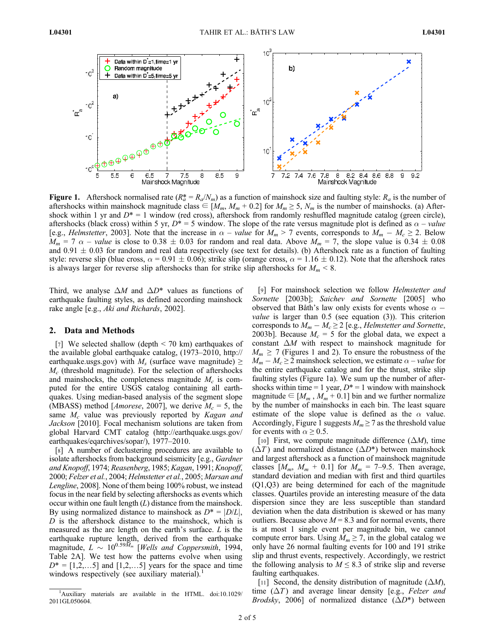

**Figure 1.** Aftershock normalised rate  $(R_a^* = R_a/N_m)$  as a function of mainshock size and faulting style:  $R_a$  is the number of aftershocks within mainshock magnitude class  $\in$  [ $M_m$ ,  $M_m$  + 0.2] for  $M_m \ge 5$ ,  $N_m$  is the number of mainshocks. (a) Aftershock within 1 yr and  $D^* = 1$  window (red cross), aftershock from randomly reshuffled magnitude catalog (green circle), aftershocks (black cross) within 5 yr,  $D^* = 5$  window. The slope of the rate versus magnitude plot is defined as  $\alpha$  – value [e.g., *Helmstetter*, 2003]. Note that the increase in  $\alpha$  – *value* for  $M_m > 7$  events, corresponds to  $M_m - M_c \ge 2$ . Below  $M_m = 7 \alpha$  – value is close to 0.38  $\pm$  0.03 for random and real data. Above  $M_m = 7$ , the slope value is 0.34  $\pm$  0.08 and  $0.91 \pm 0.03$  for random and real data respectively (see text for details). (b) Aftershock rate as a function of faulting style: reverse slip (blue cross,  $\alpha = 0.91 \pm 0.06$ ); strike slip (orange cross,  $\alpha = 1.16 \pm 0.12$ ). Note that the aftershock rates is always larger for reverse slip aftershocks than for strike slip aftershocks for  $M_m < 8$ .

Third, we analyse  $\Delta M$  and  $\Delta D^*$  values as functions of earthquake faulting styles, as defined according mainshock rake angle [e.g., Aki and Richards, 2002].

#### 2. Data and Methods

[7] We selected shallow (depth  $\leq$  70 km) earthquakes of the available global earthquake catalog, (1973–2010, http:// earthquake.usgs.gov) with  $M_s$  (surface wave magnitude)  $\geq$  $M_c$  (threshold magnitude). For the selection of aftershocks and mainshocks, the completeness magnitude  $M_c$  is computed for the entire USGS catalog containing all earthquakes. Using median-based analysis of the segment slope (MBASS) method [*Amorese*, 2007], we derive  $M_c = 5$ , the same  $M_c$  value was previously reported by Kagan and Jackson [2010]. Focal mechanism solutions are taken from global Harvard CMT catalog (http://earthquake.usgs.gov/ earthquakes/eqarchives/sopar/), 1977–2010.

[8] A number of declustering procedures are available to isolate aftershocks from background seismicity [e.g., Gardner and Knopoff, 1974; Reasenberg, 1985; Kagan, 1991; Knopoff, 2000; Felzer et al., 2004; Helmstetter et al., 2005; Marsan and Lengline, 2008]. None of them being 100% robust, we instead focus in the near field by selecting aftershocks as events which occur within one fault length  $(L)$  distance from the mainshock. By using normalized distance to mainshock as  $D^* = |D/L|$ ,  $D$  is the aftershock distance to the mainshock, which is measured as the arc length on the earth's surface. L is the earthquake rupture length, derived from the earthquake magnitude,  $L \sim 10^{0.59\tilde{M}_m}$  [Wells and Coppersmith, 1994, Table 2A]. We test how the patterns evolve when using  $D^* = [1, 2, \dots 5]$  and  $[1, 2, \dots 5]$  years for the space and time windows respectively (see auxiliary material).<sup>1</sup>

[9] For mainshock selection we follow Helmstetter and Sornette [2003b]; Saichev and Sornette [2005] who observed that Båth's law only exists for events whose  $\alpha$  – *value* is larger than  $0.5$  (see equation  $(3)$ ). This criterion corresponds to  $M_m - M_c \geq 2$  [e.g., Helmstetter and Sornette, 2003b]. Because  $M_c = 5$  for the global data, we expect a constant  $\Delta M$  with respect to mainshock magnitude for  $M_m \geq 7$  (Figures 1 and 2). To ensure the robustness of the  $M_m - M_c \geq 2$  mainshock selection, we estimate  $\alpha$  – *value* for the entire earthquake catalog and for the thrust, strike slip faulting styles (Figure 1a). We sum up the number of aftershocks within time = 1 year,  $D^*$  = 1 window with mainshock magnitude  $\in$  [ $M_m$ ,  $M_m$  + 0.1] bin and we further normalize by the number of mainshocks in each bin. The least square estimate of the slope value is defined as the  $\alpha$  value. Accordingly, Figure 1 suggests  $M_m \ge 7$  as the threshold value for events with  $\alpha \geq 0.5$ .

[10] First, we compute magnitude difference  $(\Delta M)$ , time  $(\Delta T)$  and normalized distance  $(\Delta D^*)$  between mainshock and largest aftershock as a function of mainshock magnitude classes  $[M_m, M_m + 0.1]$  for  $M_m = 7-9.5$ . Then average, standard deviation and median with first and third quartiles (Q1,Q3) are being determined for each of the magnitude classes. Quartiles provide an interesting measure of the data dispersion since they are less susceptible than standard deviation when the data distribution is skewed or has many outliers. Because above  $M = 8.3$  and for normal events, there is at most 1 single event per magnitude bin, we cannot compute error bars. Using  $M_m \ge 7$ , in the global catalog we only have 26 normal faulting events for 100 and 191 strike slip and thrust events, respectively. Accordingly, we restrict the following analysis to  $M \leq 8.3$  of strike slip and reverse faulting earthquakes.

[11] Second, the density distribution of magnitude  $(\Delta M)$ , time  $(\Delta T)$  and average linear density [e.g., Felzer and *Brodsky*, 2006] of normalized distance  $(\Delta D^*)$  between

<sup>&</sup>lt;sup>1</sup>Auxiliary materials are available in the HTML. doi:10.1029/ 2011GL050604.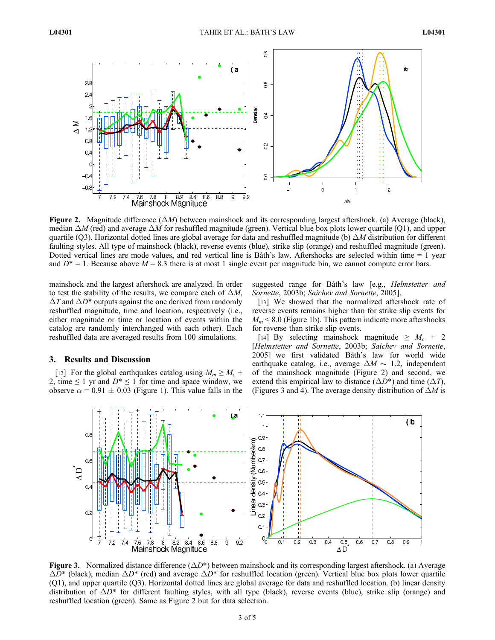

Figure 2. Magnitude difference  $(\Delta M)$  between mainshock and its corresponding largest aftershock. (a) Average (black), median  $\Delta M$  (red) and average  $\Delta M$  for reshuffled magnitude (green). Vertical blue box plots lower quartile (Q1), and upper quartile (Q3). Horizontal dotted lines are global average for data and reshuffled magnitude (b)  $\Delta M$  distribution for different faulting styles. All type of mainshock (black), reverse events (blue), strike slip (orange) and reshuffled magnitude (green). Dotted vertical lines are mode values, and red vertical line is Båth's law. Aftershocks are selected within time = 1 year and  $D^* = 1$ . Because above  $M = 8.3$  there is at most 1 single event per magnitude bin, we cannot compute error bars.

mainshock and the largest aftershock are analyzed. In order to test the stability of the results, we compare each of  $\Delta M$ ,  $\Delta T$  and  $\Delta D^*$  outputs against the one derived from randomly reshuffled magnitude, time and location, respectively (i.e., either magnitude or time or location of events within the catalog are randomly interchanged with each other). Each reshuffled data are averaged results from 100 simulations.

## 3. Results and Discussion

[12] For the global earthquakes catalog using  $M_m \ge M_c$  + 2, time  $\leq 1$  yr and  $D^* \leq 1$  for time and space window, we observe  $\alpha$  = 0.91  $\pm$  0.03 (Figure 1). This value falls in the suggested range for Båth's law [e.g., Helmstetter and Sornette, 2003b; Saichev and Sornette, 2005].

[13] We showed that the normalized aftershock rate of reverse events remains higher than for strike slip events for  $M_m$  < 8.0 (Figure 1b). This pattern indicate more aftershocks for reverse than strike slip events.

[14] By selecting mainshock magnitude  $\geq M_c + 2$ [Helmstetter and Sornette, 2003b; Saichev and Sornette, 2005] we first validated Båth's law for world wide earthquake catalog, i.e., average  $\Delta M \sim 1.2$ , independent of the mainshock magnitude (Figure 2) and second, we extend this empirical law to distance  $(\Delta D^*)$  and time  $(\Delta T)$ , (Figures 3 and 4). The average density distribution of  $\Delta M$  is



**Figure 3.** Normalized distance difference  $(\Delta D^*)$  between mainshock and its corresponding largest aftershock. (a) Average  $\Delta D^*$  (black), median  $\Delta D^*$  (red) and average  $\Delta D^*$  for reshuffled location (green). Vertical blue box plots lower quartile (Q1), and upper quartile (Q3). Horizontal dotted lines are global average for data and reshuffled location. (b) linear density distribution of  $\Delta D^*$  for different faulting styles, with all type (black), reverse events (blue), strike slip (orange) and reshuffled location (green). Same as Figure 2 but for data selection.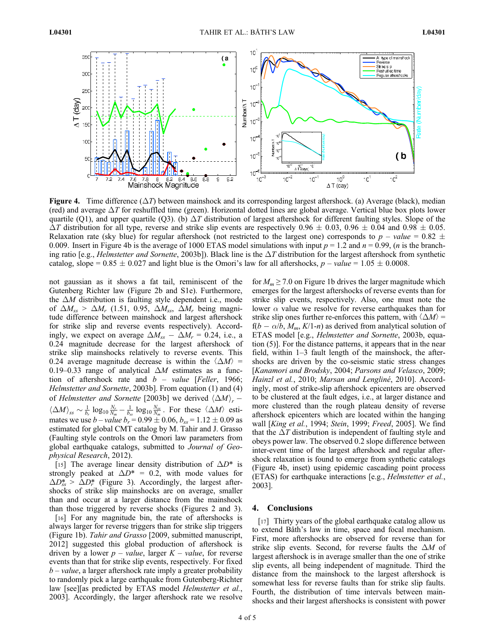

Figure 4. Time difference  $(\Delta T)$  between mainshock and its corresponding largest aftershock. (a) Average (black), median (red) and average  $\Delta T$  for reshuffled time (green). Horizontal dotted lines are global average. Vertical blue box plots lower quartile (Q1), and upper quartile (Q3). (b)  $\Delta T$  distribution of largest aftershock for different faulting styles. Slope of the  $\Delta T$  distribution for all type, reverse and strike slip events are respectively 0.96  $\pm$  0.03, 0.96  $\pm$  0.04 and 0.98  $\pm$  0.05. Relaxation rate (sky blue) for regular aftershock (not restricted to the largest one) corresponds to  $p - value = 0.82 \pm 0.005$ 0.009. Insert in Figure 4b is the average of 1000 ETAS model simulations with input  $p = 1.2$  and  $n = 0.99$ , (*n* is the branching ratio [e.g., *Helmstetter and Sornette*, 2003b]). Black line is the  $\Delta T$  distribution for the largest aftershock from synthetic catalog, slope =  $0.85 \pm 0.027$  and light blue is the Omori's law for all aftershocks,  $p - value = 1.05 \pm 0.0008$ .

not gaussian as it shows a fat tail, reminiscent of the Gutenberg Richter law (Figure 2b and S1e). Furthermore, the  $\Delta M$  distribution is faulting style dependent i.e., mode of  $\Delta M_{ss} > \Delta M_r$  (1.51, 0.95,  $\Delta M_{ss}$ ,  $\Delta M_r$  being magnitude difference between mainshock and largest aftershock for strike slip and reverse events respectively). Accordingly, we expect on average  $\Delta M_{ss} - \Delta M_r = 0.24$ , i.e., a 0.24 magnitude decrease for the largest aftershock of strike slip mainshocks relatively to reverse events. This 0.24 average magnitude decrease is within the  $\langle \Delta M \rangle$  = 0.19–0.33 range of analytical  $\Delta M$  estimates as a function of aftershock rate and  $b$  – *value* [Feller, 1966; Helmstetter and Sornette, 2003b]. From equation (1) and (4) of Helmstetter and Sornette [2003b] we derived  $\langle \Delta M \rangle_r$  –  $\langle \Delta M \rangle_{ss} \sim \frac{1}{b_r} \log_{10} \frac{N_r}{N_m} - \frac{1}{b_s} \log_{10} \frac{N_{ss}}{N_m}$ . For these  $\langle \Delta M \rangle$  esti-<br>mates we use h wakes  $b_r = 0.99 \pm 0.06$  k = 1.12  $\pm 0.09$  as mates we use  $b - value b_r = 0.99 \pm 0.06$ ,  $b_{ss} = 1.12 \pm 0.09$  as estimated for global CMT catalog by M. Tahir and J. Grasso (Faulting style controls on the Omori law parameters from global earthquake catalogs, submitted to Journal of Geophysical Research, 2012).

[15] The average linear density distribution of  $\Delta D^*$  is strongly peaked at  $\Delta D^* = 0.2$ , with mode values for  $\Delta D_{ss}^*$  >  $\Delta D_{r}^*$  (Figure 3). Accordingly, the largest aftershocks of strike slip mainshocks are on average, smaller than and occur at a larger distance from the mainshock than those triggered by reverse shocks (Figures 2 and 3).

[16] For any magnitude bin, the rate of aftershocks is always larger for reverse triggers than for strike slip triggers (Figure 1b). Tahir and Grasso [2009, submitted manuscript, 2012] suggested this global production of aftershock is driven by a lower  $p$  – *value*, larger  $K$  – *value*, for reverse events than that for strike slip events, respectively. For fixed  $b$  – *value*, a larger aftershock rate imply a greater probability to randomly pick a large earthquake from Gutenberg-Richter law [see][as predicted by ETAS model *Helmstetter et al.*, 2003]. Accordingly, the larger aftershock rate we resolve for  $M_m \ge 7.0$  on Figure 1b drives the larger magnitude which emerges for the largest aftershocks of reverse events than for strike slip events, respectively. Also, one must note the lower  $\alpha$  value we resolve for reverse earthquakes than for strike slip ones further re-enforces this pattern, with  $\langle \Delta M \rangle$  =  $f(b - \alpha/b, M_m, K/1-n)$  as derived from analytical solution of ETAS model [e.g., Helmstetter and Sornette, 2003b, equation (5)]. For the distance patterns, it appears that in the near field, within 1–3 fault length of the mainshock, the aftershocks are driven by the co-seismic static stress changes [Kanamori and Brodsky, 2004; Parsons and Velasco, 2009; Hainzl et al., 2010; Marsan and Lengliné, 2010]. Accordingly, most of strike-slip aftershock epicenters are observed to be clustered at the fault edges, i.e., at larger distance and more clustered than the rough plateau density of reverse aftershock epicenters which are located within the hanging wall [King et al., 1994; Stein, 1999; Freed, 2005]. We find that the  $\Delta T$  distribution is independent of faulting style and obeys power law. The observed 0.2 slope difference between inter-event time of the largest aftershock and regular aftershock relaxation is found to emerge from synthetic catalogs (Figure 4b, inset) using epidemic cascading point process (ETAS) for earthquake interactions [e.g., Helmstetter et al., 2003].

## 4. Conclusions

[17] Thirty years of the global earthquake catalog allow us to extend Båth's law in time, space and focal mechanism. First, more aftershocks are observed for reverse than for strike slip events. Second, for reverse faults the  $\Delta M$  of largest aftershock is in average smaller than the one of strike slip events, all being independent of magnitude. Third the distance from the mainshock to the largest aftershock is somewhat less for reverse faults than for strike slip faults. Fourth, the distribution of time intervals between mainshocks and their largest aftershocks is consistent with power